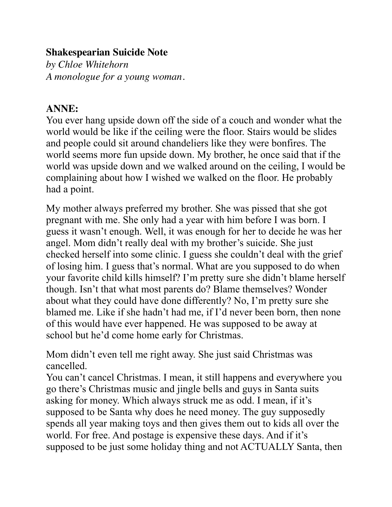## **Shakespearian Suicide Note**

*by Chloe Whitehorn A monologue for a young woman.*

## **ANNE:**

You ever hang upside down off the side of a couch and wonder what the world would be like if the ceiling were the floor. Stairs would be slides and people could sit around chandeliers like they were bonfires. The world seems more fun upside down. My brother, he once said that if the world was upside down and we walked around on the ceiling, I would be complaining about how I wished we walked on the floor. He probably had a point.

My mother always preferred my brother. She was pissed that she got pregnant with me. She only had a year with him before I was born. I guess it wasn't enough. Well, it was enough for her to decide he was her angel. Mom didn't really deal with my brother's suicide. She just checked herself into some clinic. I guess she couldn't deal with the grief of losing him. I guess that's normal. What are you supposed to do when your favorite child kills himself? I'm pretty sure she didn't blame herself though. Isn't that what most parents do? Blame themselves? Wonder about what they could have done differently? No, I'm pretty sure she blamed me. Like if she hadn't had me, if I'd never been born, then none of this would have ever happened. He was supposed to be away at school but he'd come home early for Christmas.

Mom didn't even tell me right away. She just said Christmas was cancelled.

You can't cancel Christmas. I mean, it still happens and everywhere you go there's Christmas music and jingle bells and guys in Santa suits asking for money. Which always struck me as odd. I mean, if it's supposed to be Santa why does he need money. The guy supposedly spends all year making toys and then gives them out to kids all over the world. For free. And postage is expensive these days. And if it's supposed to be just some holiday thing and not ACTUALLY Santa, then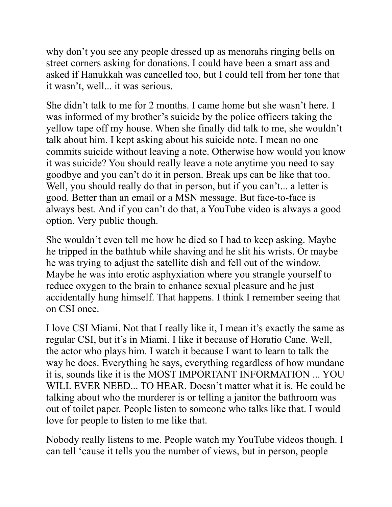why don't you see any people dressed up as menorahs ringing bells on street corners asking for donations. I could have been a smart ass and asked if Hanukkah was cancelled too, but I could tell from her tone that it wasn't, well... it was serious.

She didn't talk to me for 2 months. I came home but she wasn't here. I was informed of my brother's suicide by the police officers taking the yellow tape off my house. When she finally did talk to me, she wouldn't talk about him. I kept asking about his suicide note. I mean no one commits suicide without leaving a note. Otherwise how would you know it was suicide? You should really leave a note anytime you need to say goodbye and you can't do it in person. Break ups can be like that too. Well, you should really do that in person, but if you can't... a letter is good. Better than an email or a MSN message. But face-to-face is always best. And if you can't do that, a YouTube video is always a good option. Very public though.

She wouldn't even tell me how he died so I had to keep asking. Maybe he tripped in the bathtub while shaving and he slit his wrists. Or maybe he was trying to adjust the satellite dish and fell out of the window. Maybe he was into erotic asphyxiation where you strangle yourself to reduce oxygen to the brain to enhance sexual pleasure and he just accidentally hung himself. That happens. I think I remember seeing that on CSI once.

I love CSI Miami. Not that I really like it, I mean it's exactly the same as regular CSI, but it's in Miami. I like it because of Horatio Cane. Well, the actor who plays him. I watch it because I want to learn to talk the way he does. Everything he says, everything regardless of how mundane it is, sounds like it is the MOST IMPORTANT INFORMATION ... YOU WILL EVER NEED... TO HEAR. Doesn't matter what it is. He could be talking about who the murderer is or telling a janitor the bathroom was out of toilet paper. People listen to someone who talks like that. I would love for people to listen to me like that.

Nobody really listens to me. People watch my YouTube videos though. I can tell 'cause it tells you the number of views, but in person, people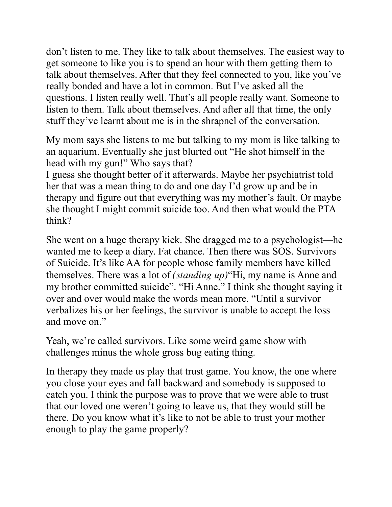don't listen to me. They like to talk about themselves. The easiest way to get someone to like you is to spend an hour with them getting them to talk about themselves. After that they feel connected to you, like you've really bonded and have a lot in common. But I've asked all the questions. I listen really well. That's all people really want. Someone to listen to them. Talk about themselves. And after all that time, the only stuff they've learnt about me is in the shrapnel of the conversation.

My mom says she listens to me but talking to my mom is like talking to an aquarium. Eventually she just blurted out "He shot himself in the head with my gun!" Who says that?

I guess she thought better of it afterwards. Maybe her psychiatrist told her that was a mean thing to do and one day I'd grow up and be in therapy and figure out that everything was my mother's fault. Or maybe she thought I might commit suicide too. And then what would the PTA think?

She went on a huge therapy kick. She dragged me to a psychologist—he wanted me to keep a diary. Fat chance. Then there was SOS. Survivors of Suicide. It's like AA for people whose family members have killed themselves. There was a lot of *(standing up)*"Hi, my name is Anne and my brother committed suicide". "Hi Anne." I think she thought saying it over and over would make the words mean more. "Until a survivor verbalizes his or her feelings, the survivor is unable to accept the loss and move on."

Yeah, we're called survivors. Like some weird game show with challenges minus the whole gross bug eating thing.

In therapy they made us play that trust game. You know, the one where you close your eyes and fall backward and somebody is supposed to catch you. I think the purpose was to prove that we were able to trust that our loved one weren't going to leave us, that they would still be there. Do you know what it's like to not be able to trust your mother enough to play the game properly?